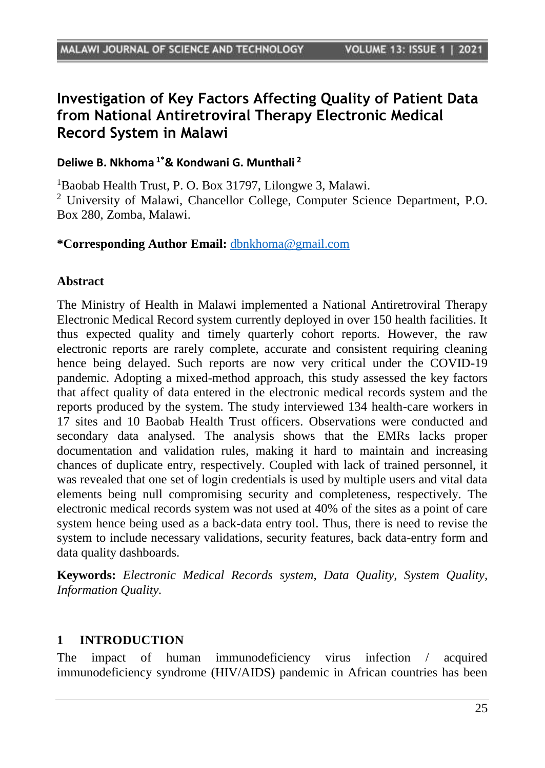# **Investigation of Key Factors Affecting Quality of Patient Data from National Antiretroviral Therapy Electronic Medical Record System in Malawi**

### **Deliwe B. Nkhoma 1\*& Kondwani G. Munthali <sup>2</sup>**

<sup>1</sup>Baobab Health Trust, P. O. Box 31797, Lilongwe 3, Malawi. <sup>2</sup> University of Malawi, Chancellor College, Computer Science Department, P.O. Box 280, Zomba, Malawi.

#### **\*Corresponding Author Email:** [dbnkhoma@gmail.com](mailto:dbnkhoma@gmail.com)

#### **Abstract**

The Ministry of Health in Malawi implemented a National Antiretroviral Therapy Electronic Medical Record system currently deployed in over 150 health facilities. It thus expected quality and timely quarterly cohort reports. However, the raw electronic reports are rarely complete, accurate and consistent requiring cleaning hence being delayed. Such reports are now very critical under the COVID-19 pandemic. Adopting a mixed-method approach, this study assessed the key factors that affect quality of data entered in the electronic medical records system and the reports produced by the system. The study interviewed 134 health-care workers in 17 sites and 10 Baobab Health Trust officers. Observations were conducted and secondary data analysed. The analysis shows that the EMRs lacks proper documentation and validation rules, making it hard to maintain and increasing chances of duplicate entry, respectively. Coupled with lack of trained personnel, it was revealed that one set of login credentials is used by multiple users and vital data elements being null compromising security and completeness, respectively. The electronic medical records system was not used at 40% of the sites as a point of care system hence being used as a back-data entry tool. Thus, there is need to revise the system to include necessary validations, security features, back data-entry form and data quality dashboards.

**Keywords:** *Electronic Medical Records system, Data Quality, System Quality, Information Quality.*

#### **1 INTRODUCTION**

The impact of human immunodeficiency virus infection / acquired immunodeficiency syndrome (HIV/AIDS) pandemic in African countries has been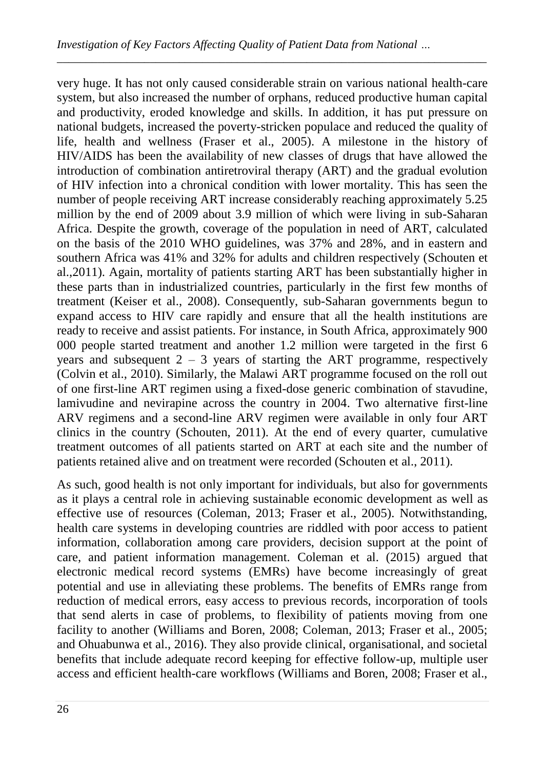very huge. It has not only caused considerable strain on various national health-care system, but also increased the number of orphans, reduced productive human capital and productivity, eroded knowledge and skills. In addition, it has put pressure on national budgets, increased the poverty-stricken populace and reduced the quality of life, health and wellness (Fraser et al., 2005). A milestone in the history of HIV/AIDS has been the availability of new classes of drugs that have allowed the introduction of combination antiretroviral therapy (ART) and the gradual evolution of HIV infection into a chronical condition with lower mortality. This has seen the number of people receiving ART increase considerably reaching approximately 5.25 million by the end of 2009 about 3.9 million of which were living in sub-Saharan Africa. Despite the growth, coverage of the population in need of ART, calculated on the basis of the 2010 WHO guidelines, was 37% and 28%, and in eastern and southern Africa was 41% and 32% for adults and children respectively (Schouten et al.,2011). Again, mortality of patients starting ART has been substantially higher in these parts than in industrialized countries, particularly in the first few months of treatment (Keiser et al., 2008). Consequently, sub-Saharan governments begun to expand access to HIV care rapidly and ensure that all the health institutions are ready to receive and assist patients. For instance, in South Africa, approximately 900 000 people started treatment and another 1.2 million were targeted in the first 6 years and subsequent  $2 - 3$  years of starting the ART programme, respectively (Colvin et al., 2010). Similarly, the Malawi ART programme focused on the roll out of one first-line ART regimen using a fixed-dose generic combination of stavudine, lamivudine and nevirapine across the country in 2004. Two alternative first-line ARV regimens and a second-line ARV regimen were available in only four ART clinics in the country (Schouten, 2011). At the end of every quarter, cumulative treatment outcomes of all patients started on ART at each site and the number of patients retained alive and on treatment were recorded (Schouten et al., 2011).

As such, good health is not only important for individuals, but also for governments as it plays a central role in achieving sustainable economic development as well as effective use of resources (Coleman, 2013; Fraser et al., 2005). Notwithstanding, health care systems in developing countries are riddled with poor access to patient information, collaboration among care providers, decision support at the point of care, and patient information management. Coleman et al. (2015) argued that electronic medical record systems (EMRs) have become increasingly of great potential and use in alleviating these problems. The benefits of EMRs range from reduction of medical errors, easy access to previous records, incorporation of tools that send alerts in case of problems, to flexibility of patients moving from one facility to another (Williams and Boren, 2008; Coleman, 2013; Fraser et al., 2005; and Ohuabunwa et al., 2016). They also provide clinical, organisational, and societal benefits that include adequate record keeping for effective follow-up, multiple user access and efficient health-care workflows (Williams and Boren, 2008; Fraser et al.,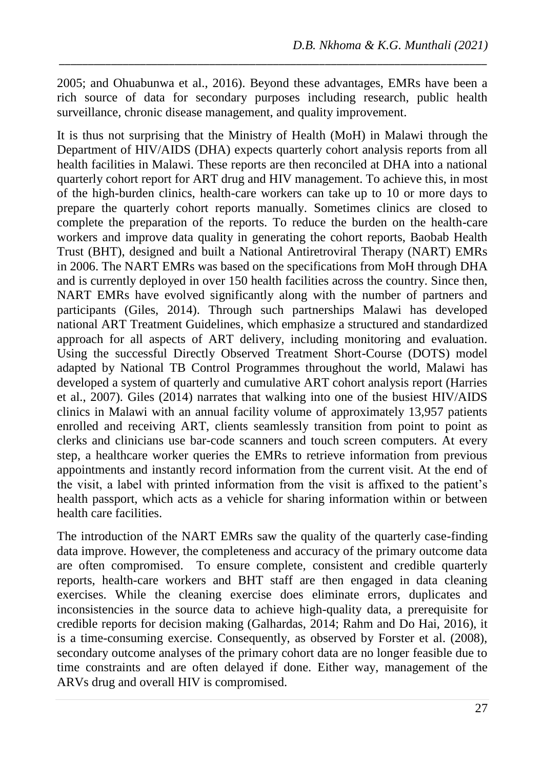2005; and Ohuabunwa et al., 2016). Beyond these advantages, EMRs have been a rich source of data for secondary purposes including research, public health surveillance, chronic disease management, and quality improvement.

*\_\_\_\_\_\_\_\_\_\_\_\_\_\_\_\_\_\_\_\_\_\_\_\_\_\_\_\_\_\_\_\_\_\_\_\_\_\_\_\_\_\_\_\_\_\_\_\_\_\_\_\_\_\_\_\_\_\_\_\_\_\_\_\_\_\_\_\_\_\_\_\_\_\_*

It is thus not surprising that the Ministry of Health (MoH) in Malawi through the Department of HIV/AIDS (DHA) expects quarterly cohort analysis reports from all health facilities in Malawi. These reports are then reconciled at DHA into a national quarterly cohort report for ART drug and HIV management. To achieve this, in most of the high-burden clinics, health-care workers can take up to 10 or more days to prepare the quarterly cohort reports manually. Sometimes clinics are closed to complete the preparation of the reports. To reduce the burden on the health-care workers and improve data quality in generating the cohort reports, Baobab Health Trust (BHT), designed and built a National Antiretroviral Therapy (NART) EMRs in 2006. The NART EMRs was based on the specifications from MoH through DHA and is currently deployed in over 150 health facilities across the country. Since then, NART EMRs have evolved significantly along with the number of partners and participants (Giles, 2014). Through such partnerships Malawi has developed national ART Treatment Guidelines, which emphasize a structured and standardized approach for all aspects of ART delivery, including monitoring and evaluation. Using the successful Directly Observed Treatment Short-Course (DOTS) model adapted by National TB Control Programmes throughout the world, Malawi has developed a system of quarterly and cumulative ART cohort analysis report (Harries et al., 2007). Giles (2014) narrates that walking into one of the busiest HIV/AIDS clinics in Malawi with an annual facility volume of approximately 13,957 patients enrolled and receiving ART, clients seamlessly transition from point to point as clerks and clinicians use bar-code scanners and touch screen computers. At every step, a healthcare worker queries the EMRs to retrieve information from previous appointments and instantly record information from the current visit. At the end of the visit, a label with printed information from the visit is affixed to the patient's health passport, which acts as a vehicle for sharing information within or between health care facilities.

The introduction of the NART EMRs saw the quality of the quarterly case-finding data improve. However, the completeness and accuracy of the primary outcome data are often compromised. To ensure complete, consistent and credible quarterly reports, health-care workers and BHT staff are then engaged in data cleaning exercises. While the cleaning exercise does eliminate errors, duplicates and inconsistencies in the source data to achieve high-quality data, a prerequisite for credible reports for decision making (Galhardas, 2014; Rahm and Do Hai, 2016), it is a time-consuming exercise. Consequently, as observed by Forster et al. (2008), secondary outcome analyses of the primary cohort data are no longer feasible due to time constraints and are often delayed if done. Either way, management of the ARVs drug and overall HIV is compromised.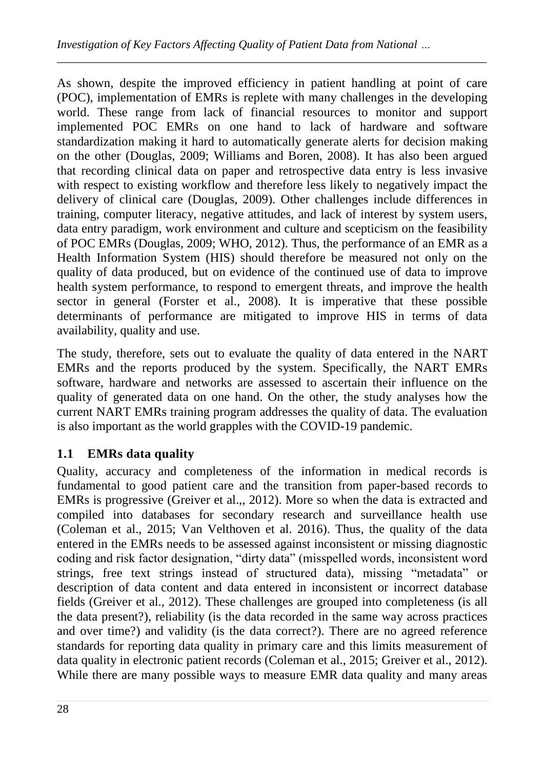As shown, despite the improved efficiency in patient handling at point of care (POC), implementation of EMRs is replete with many challenges in the developing world. These range from lack of financial resources to monitor and support implemented POC EMRs on one hand to lack of hardware and software standardization making it hard to automatically generate alerts for decision making on the other (Douglas, 2009; Williams and Boren, 2008). It has also been argued that recording clinical data on paper and retrospective data entry is less invasive with respect to existing workflow and therefore less likely to negatively impact the delivery of clinical care (Douglas, 2009). Other challenges include differences in training, computer literacy, negative attitudes, and lack of interest by system users, data entry paradigm, work environment and culture and scepticism on the feasibility of POC EMRs (Douglas, 2009; WHO, 2012). Thus, the performance of an EMR as a Health Information System (HIS) should therefore be measured not only on the quality of data produced, but on evidence of the continued use of data to improve health system performance, to respond to emergent threats, and improve the health sector in general (Forster et al., 2008). It is imperative that these possible determinants of performance are mitigated to improve HIS in terms of data availability, quality and use.

*\_\_\_\_\_\_\_\_\_\_\_\_\_\_\_\_\_\_\_\_\_\_\_\_\_\_\_\_\_\_\_\_\_\_\_\_\_\_\_\_\_\_\_\_\_\_\_\_\_\_\_\_\_\_\_\_\_\_\_\_\_\_\_\_\_\_\_\_\_\_\_\_\_\_*

The study, therefore, sets out to evaluate the quality of data entered in the NART EMRs and the reports produced by the system. Specifically, the NART EMRs software, hardware and networks are assessed to ascertain their influence on the quality of generated data on one hand. On the other, the study analyses how the current NART EMRs training program addresses the quality of data. The evaluation is also important as the world grapples with the COVID-19 pandemic.

## **1.1 EMRs data quality**

Quality, accuracy and completeness of the information in medical records is fundamental to good patient care and the transition from paper-based records to EMRs is progressive (Greiver et al.,, 2012). More so when the data is extracted and compiled into databases for secondary research and surveillance health use (Coleman et al., 2015; Van Velthoven et al. 2016). Thus, the quality of the data entered in the EMRs needs to be assessed against inconsistent or missing diagnostic coding and risk factor designation, "dirty data" (misspelled words, inconsistent word strings, free text strings instead of structured data), missing "metadata" or description of data content and data entered in inconsistent or incorrect database fields (Greiver et al., 2012). These challenges are grouped into completeness (is all the data present?), reliability (is the data recorded in the same way across practices and over time?) and validity (is the data correct?). There are no agreed reference standards for reporting data quality in primary care and this limits measurement of data quality in electronic patient records (Coleman et al., 2015; Greiver et al., 2012). While there are many possible ways to measure EMR data quality and many areas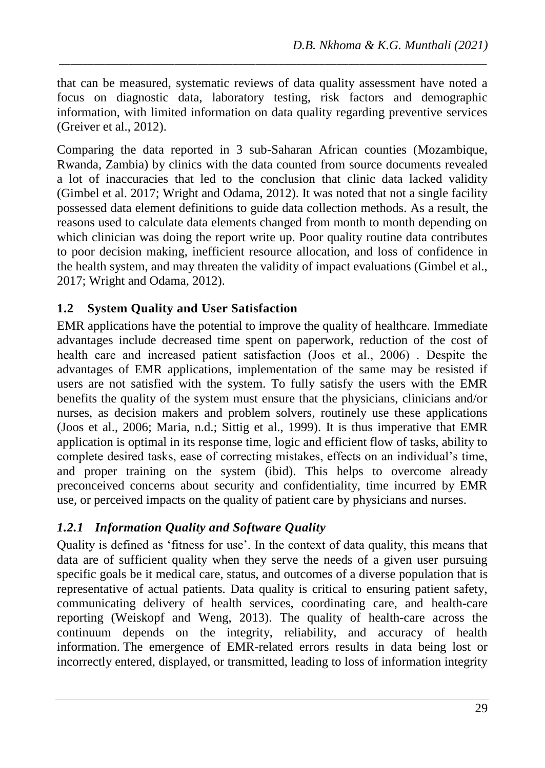that can be measured, systematic reviews of data quality assessment have noted a focus on diagnostic data, laboratory testing, risk factors and demographic information, with limited information on data quality regarding preventive services (Greiver et al., 2012).

*\_\_\_\_\_\_\_\_\_\_\_\_\_\_\_\_\_\_\_\_\_\_\_\_\_\_\_\_\_\_\_\_\_\_\_\_\_\_\_\_\_\_\_\_\_\_\_\_\_\_\_\_\_\_\_\_\_\_\_\_\_\_\_\_\_\_\_\_\_\_\_\_\_\_*

Comparing the data reported in 3 sub-Saharan African counties (Mozambique, Rwanda, Zambia) by clinics with the data counted from source documents revealed a lot of inaccuracies that led to the conclusion that clinic data lacked validity (Gimbel et al. 2017; Wright and Odama, 2012). It was noted that not a single facility possessed data element definitions to guide data collection methods. As a result, the reasons used to calculate data elements changed from month to month depending on which clinician was doing the report write up. Poor quality routine data contributes to poor decision making, inefficient resource allocation, and loss of confidence in the health system, and may threaten the validity of impact evaluations (Gimbel et al., 2017; Wright and Odama, 2012).

### **1.2 System Quality and User Satisfaction**

EMR applications have the potential to improve the quality of healthcare. Immediate advantages include decreased time spent on paperwork, reduction of the cost of health care and increased patient satisfaction (Joos et al., 2006) . Despite the advantages of EMR applications, implementation of the same may be resisted if users are not satisfied with the system. To fully satisfy the users with the EMR benefits the quality of the system must ensure that the physicians, clinicians and/or nurses, as decision makers and problem solvers, routinely use these applications (Joos et al., 2006; Maria, n.d.; Sittig et al., 1999). It is thus imperative that EMR application is optimal in its response time, logic and efficient flow of tasks, ability to complete desired tasks, ease of correcting mistakes, effects on an individual's time, and proper training on the system (ibid). This helps to overcome already preconceived concerns about security and confidentiality, time incurred by EMR use, or perceived impacts on the quality of patient care by physicians and nurses.

### *1.2.1 Information Quality and Software Quality*

Quality is defined as 'fitness for use'. In the context of data quality, this means that data are of sufficient quality when they serve the needs of a given user pursuing specific goals be it medical care, status, and outcomes of a diverse population that is representative of actual patients. Data quality is critical to ensuring patient safety, communicating delivery of health services, coordinating care, and health-care reporting (Weiskopf and Weng, 2013). The quality of health-care across the continuum depends on the integrity, reliability, and accuracy of health information. The emergence of EMR-related errors results in data being lost or incorrectly entered, displayed, or transmitted, leading to loss of information integrity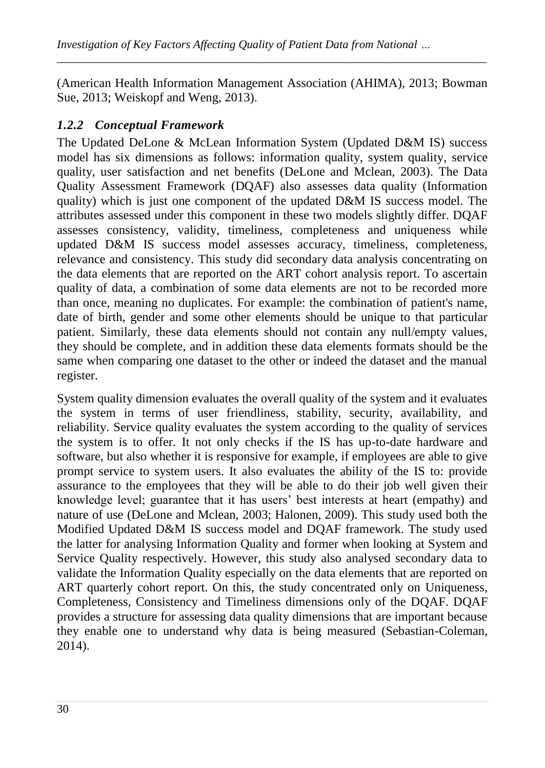(American Health Information Management Association (AHIMA), 2013; Bowman Sue, 2013; Weiskopf and Weng, 2013).

*\_\_\_\_\_\_\_\_\_\_\_\_\_\_\_\_\_\_\_\_\_\_\_\_\_\_\_\_\_\_\_\_\_\_\_\_\_\_\_\_\_\_\_\_\_\_\_\_\_\_\_\_\_\_\_\_\_\_\_\_\_\_\_\_\_\_\_\_\_\_\_\_\_\_*

### *1.2.2 Conceptual Framework*

The Updated DeLone & McLean Information System (Updated D&M IS) success model has six dimensions as follows: information quality, system quality, service quality, user satisfaction and net benefits (DeLone and Mclean, 2003). The Data Quality Assessment Framework (DQAF) also assesses data quality (Information quality) which is just one component of the updated  $D&M$  IS success model. The attributes assessed under this component in these two models slightly differ. DQAF assesses consistency, validity, timeliness, completeness and uniqueness while updated D&M IS success model assesses accuracy, timeliness, completeness, relevance and consistency. This study did secondary data analysis concentrating on the data elements that are reported on the ART cohort analysis report. To ascertain quality of data, a combination of some data elements are not to be recorded more than once, meaning no duplicates. For example: the combination of patient's name, date of birth, gender and some other elements should be unique to that particular patient. Similarly, these data elements should not contain any null/empty values, they should be complete, and in addition these data elements formats should be the same when comparing one dataset to the other or indeed the dataset and the manual register.

System quality dimension evaluates the overall quality of the system and it evaluates the system in terms of user friendliness, stability, security, availability, and reliability. Service quality evaluates the system according to the quality of services the system is to offer. It not only checks if the IS has up-to-date hardware and software, but also whether it is responsive for example, if employees are able to give prompt service to system users. It also evaluates the ability of the IS to: provide assurance to the employees that they will be able to do their job well given their knowledge level; guarantee that it has users' best interests at heart (empathy) and nature of use (DeLone and Mclean, 2003; Halonen, 2009). This study used both the Modified Updated D&M IS success model and DQAF framework. The study used the latter for analysing Information Quality and former when looking at System and Service Quality respectively. However, this study also analysed secondary data to validate the Information Quality especially on the data elements that are reported on ART quarterly cohort report. On this, the study concentrated only on Uniqueness, Completeness, Consistency and Timeliness dimensions only of the DQAF. DQAF provides a structure for assessing data quality dimensions that are important because they enable one to understand why data is being measured (Sebastian-Coleman, 2014).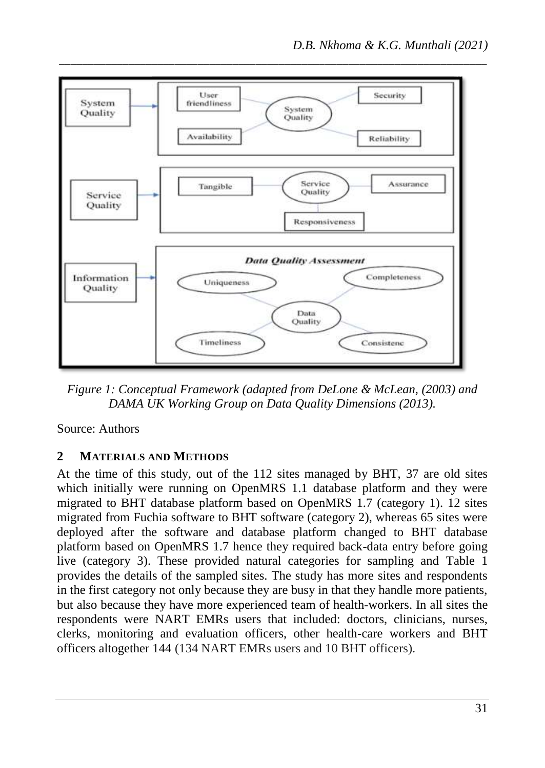

*Figure 1: Conceptual Framework (adapted from DeLone & McLean, (2003) and DAMA UK Working Group on Data Quality Dimensions (2013).*

Source: Authors

### **2 MATERIALS AND METHODS**

At the time of this study, out of the 112 sites managed by BHT, 37 are old sites which initially were running on OpenMRS 1.1 database platform and they were migrated to BHT database platform based on OpenMRS 1.7 (category 1). 12 sites migrated from Fuchia software to BHT software (category 2), whereas 65 sites were deployed after the software and database platform changed to BHT database platform based on OpenMRS 1.7 hence they required back-data entry before going live (category 3). These provided natural categories for sampling and [Table 1](#page-7-0) provides the details of the sampled sites. The study has more sites and respondents in the first category not only because they are busy in that they handle more patients, but also because they have more experienced team of health-workers. In all sites the respondents were NART EMRs users that included: doctors, clinicians, nurses, clerks, monitoring and evaluation officers, other health-care workers and BHT officers altogether 144 (134 NART EMRs users and 10 BHT officers).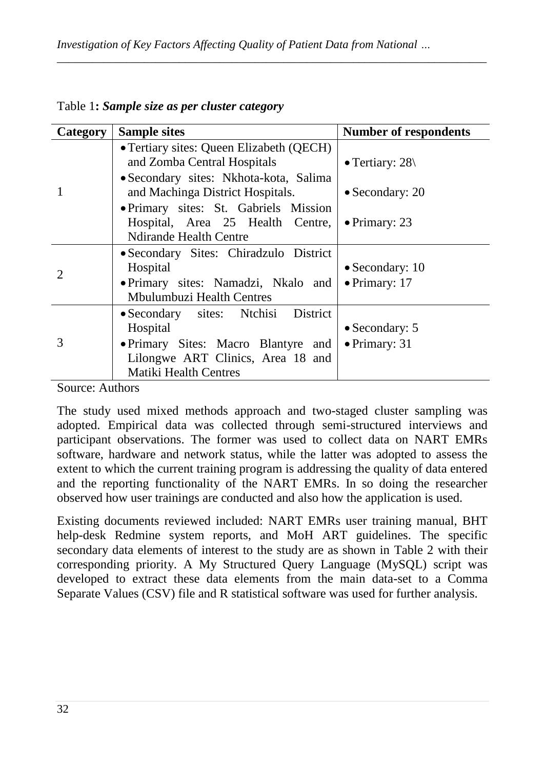| <b>Category</b>       | <b>Sample sites</b>                                                                                                                                         | <b>Number of respondents</b>                     |
|-----------------------|-------------------------------------------------------------------------------------------------------------------------------------------------------------|--------------------------------------------------|
|                       | • Tertiary sites: Queen Elizabeth (QECH)<br>and Zomba Central Hospitals<br>• Secondary sites: Nkhota-kota, Salima                                           | • Tertiary: $28$                                 |
|                       | and Machinga District Hospitals.                                                                                                                            | $\bullet$ Secondary: 20                          |
|                       | • Primary sites: St. Gabriels Mission<br>Hospital, Area 25 Health Centre,<br><b>Ndirande Health Centre</b>                                                  | $\bullet$ Primary: 23                            |
| $\mathcal{D}_{\cdot}$ | • Secondary Sites: Chiradzulo District<br>Hospital<br>• Primary sites: Namadzi, Nkalo and<br>Mbulumbuzi Health Centres                                      | $\bullet$ Secondary: 10<br>$\bullet$ Primary: 17 |
| 3                     | • Secondary sites: Ntchisi District<br>Hospital<br>• Primary Sites: Macro Blantyre and<br>Lilongwe ART Clinics, Area 18 and<br><b>Matiki Health Centres</b> | $\bullet$ Secondary: 5<br>$\bullet$ Primary: 31  |

<span id="page-7-0"></span>Table 1**:** *Sample size as per cluster category*

Source: Authors

The study used mixed methods approach and two-staged cluster sampling was adopted. Empirical data was collected through semi-structured interviews and participant observations. The former was used to collect data on NART EMRs software, hardware and network status, while the latter was adopted to assess the extent to which the current training program is addressing the quality of data entered and the reporting functionality of the NART EMRs. In so doing the researcher observed how user trainings are conducted and also how the application is used.

Existing documents reviewed included: NART EMRs user training manual, BHT help-desk Redmine system reports, and MoH ART guidelines. The specific secondary data elements of interest to the study are as shown in [Table 2](#page-8-0) with their corresponding priority. A My Structured Query Language (MySQL) script was developed to extract these data elements from the main data-set to a Comma Separate Values (CSV) file and R statistical software was used for further analysis.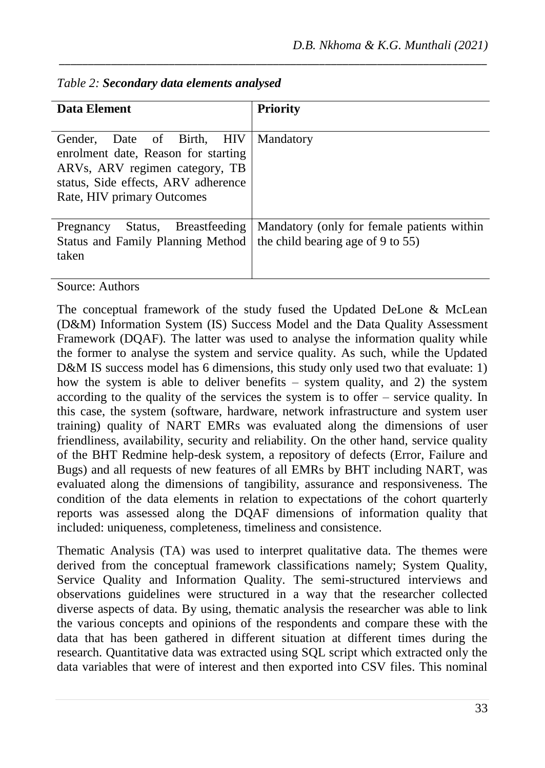| <b>Data Element</b>                                                                                                                                                                      | <b>Priority</b>                                                                 |
|------------------------------------------------------------------------------------------------------------------------------------------------------------------------------------------|---------------------------------------------------------------------------------|
| Date of Birth, HIV<br>Gender.<br>enrolment date, Reason for starting<br>ARV <sub>s</sub> , ARV regimen category, TB<br>status, Side effects, ARV adherence<br>Rate, HIV primary Outcomes | Mandatory                                                                       |
| Status, Breastfeeding<br>Pregnancy<br><b>Status and Family Planning Method</b><br>taken<br>$\lambda = 1$                                                                                 | Mandatory (only for female patients within<br>the child bearing age of 9 to 55) |

<span id="page-8-0"></span>*Table 2: Secondary data elements analysed*

Source: Authors

The conceptual framework of the study fused the Updated DeLone & McLean (D&M) Information System (IS) Success Model and the Data Quality Assessment Framework (DQAF). The latter was used to analyse the information quality while the former to analyse the system and service quality. As such, while the Updated D&M IS success model has 6 dimensions, this study only used two that evaluate: 1) how the system is able to deliver benefits – system quality, and 2) the system according to the quality of the services the system is to offer – service quality. In this case, the system (software, hardware, network infrastructure and system user training) quality of NART EMRs was evaluated along the dimensions of user friendliness, availability, security and reliability. On the other hand, service quality of the BHT Redmine help-desk system, a repository of defects (Error, Failure and Bugs) and all requests of new features of all EMRs by BHT including NART, was evaluated along the dimensions of tangibility, assurance and responsiveness. The condition of the data elements in relation to expectations of the cohort quarterly reports was assessed along the DQAF dimensions of information quality that included: uniqueness, completeness, timeliness and consistence.

Thematic Analysis (TA) was used to interpret qualitative data. The themes were derived from the conceptual framework classifications namely; System Quality, Service Quality and Information Quality. The semi-structured interviews and observations guidelines were structured in a way that the researcher collected diverse aspects of data. By using, thematic analysis the researcher was able to link the various concepts and opinions of the respondents and compare these with the data that has been gathered in different situation at different times during the research. Quantitative data was extracted using SQL script which extracted only the data variables that were of interest and then exported into CSV files. This nominal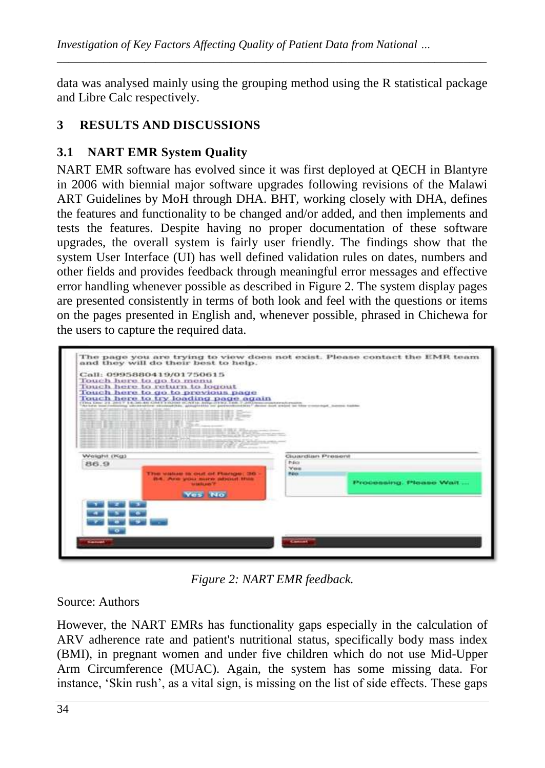data was analysed mainly using the grouping method using the R statistical package and Libre Calc respectively.

*\_\_\_\_\_\_\_\_\_\_\_\_\_\_\_\_\_\_\_\_\_\_\_\_\_\_\_\_\_\_\_\_\_\_\_\_\_\_\_\_\_\_\_\_\_\_\_\_\_\_\_\_\_\_\_\_\_\_\_\_\_\_\_\_\_\_\_\_\_\_\_\_\_\_*

## **3 RESULTS AND DISCUSSIONS**

## **3.1 NART EMR System Quality**

NART EMR software has evolved since it was first deployed at QECH in Blantyre in 2006 with biennial major software upgrades following revisions of the Malawi ART Guidelines by MoH through DHA. BHT, working closely with DHA, defines the features and functionality to be changed and/or added, and then implements and tests the features. Despite having no proper documentation of these software upgrades, the overall system is fairly user friendly. The findings show that the system User Interface (UI) has well defined validation rules on dates, numbers and other fields and provides feedback through meaningful error messages and effective error handling whenever possible as described in Figure 2. The system display pages are presented consistently in terms of both look and feel with the questions or items on the pages presented in English and, whenever possible, phrased in Chichewa for the users to capture the required data.



*Figure 2: NART EMR feedback.*

Source: Authors

However, the NART EMRs has functionality gaps especially in the calculation of ARV adherence rate and patient's nutritional status, specifically body mass index (BMI), in pregnant women and under five children which do not use Mid-Upper Arm Circumference (MUAC). Again, the system has some missing data. For instance, 'Skin rush', as a vital sign, is missing on the list of side effects. These gaps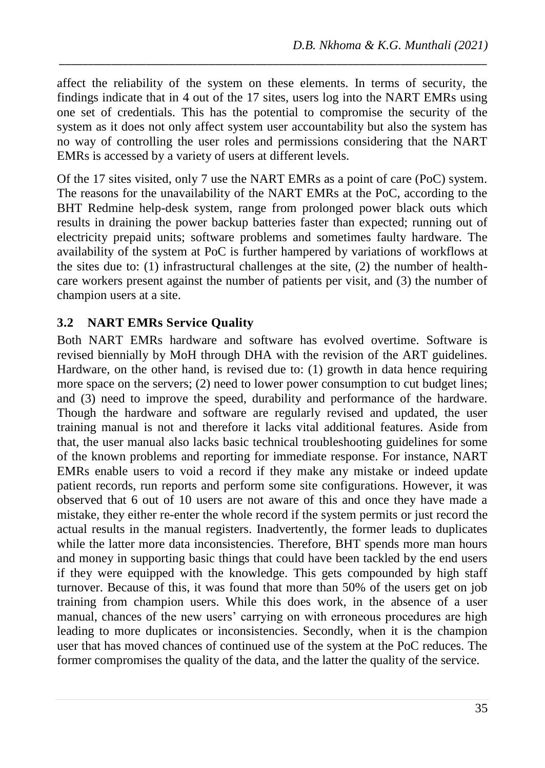affect the reliability of the system on these elements. In terms of security, the findings indicate that in 4 out of the 17 sites, users log into the NART EMRs using one set of credentials. This has the potential to compromise the security of the system as it does not only affect system user accountability but also the system has no way of controlling the user roles and permissions considering that the NART EMRs is accessed by a variety of users at different levels.

*\_\_\_\_\_\_\_\_\_\_\_\_\_\_\_\_\_\_\_\_\_\_\_\_\_\_\_\_\_\_\_\_\_\_\_\_\_\_\_\_\_\_\_\_\_\_\_\_\_\_\_\_\_\_\_\_\_\_\_\_\_\_\_\_\_\_\_\_\_\_\_\_\_\_*

Of the 17 sites visited, only 7 use the NART EMRs as a point of care (PoC) system. The reasons for the unavailability of the NART EMRs at the PoC, according to the BHT Redmine help-desk system, range from prolonged power black outs which results in draining the power backup batteries faster than expected; running out of electricity prepaid units; software problems and sometimes faulty hardware. The availability of the system at PoC is further hampered by variations of workflows at the sites due to: (1) infrastructural challenges at the site, (2) the number of healthcare workers present against the number of patients per visit, and (3) the number of champion users at a site.

### **3.2 NART EMRs Service Quality**

Both NART EMRs hardware and software has evolved overtime. Software is revised biennially by MoH through DHA with the revision of the ART guidelines. Hardware, on the other hand, is revised due to: (1) growth in data hence requiring more space on the servers; (2) need to lower power consumption to cut budget lines; and (3) need to improve the speed, durability and performance of the hardware. Though the hardware and software are regularly revised and updated, the user training manual is not and therefore it lacks vital additional features. Aside from that, the user manual also lacks basic technical troubleshooting guidelines for some of the known problems and reporting for immediate response. For instance, NART EMRs enable users to void a record if they make any mistake or indeed update patient records, run reports and perform some site configurations. However, it was observed that 6 out of 10 users are not aware of this and once they have made a mistake, they either re-enter the whole record if the system permits or just record the actual results in the manual registers. Inadvertently, the former leads to duplicates while the latter more data inconsistencies. Therefore, BHT spends more man hours and money in supporting basic things that could have been tackled by the end users if they were equipped with the knowledge. This gets compounded by high staff turnover. Because of this, it was found that more than 50% of the users get on job training from champion users. While this does work, in the absence of a user manual, chances of the new users' carrying on with erroneous procedures are high leading to more duplicates or inconsistencies. Secondly, when it is the champion user that has moved chances of continued use of the system at the PoC reduces. The former compromises the quality of the data, and the latter the quality of the service.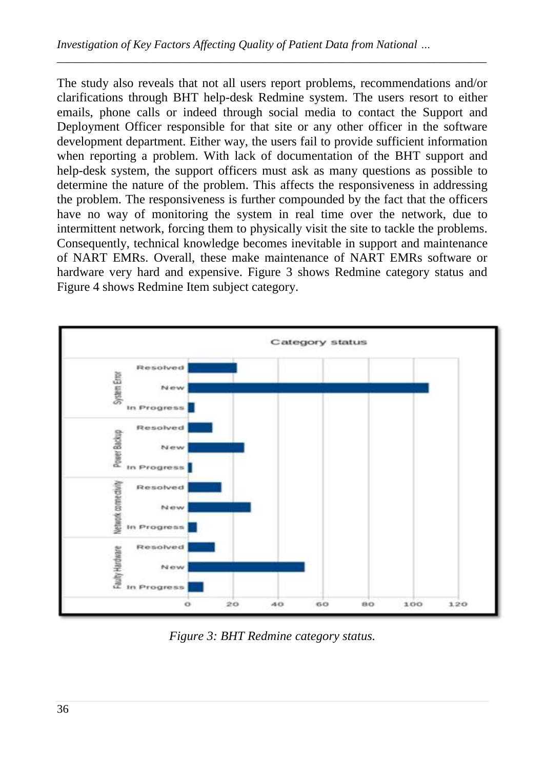The study also reveals that not all users report problems, recommendations and/or clarifications through BHT help-desk Redmine system. The users resort to either emails, phone calls or indeed through social media to contact the Support and Deployment Officer responsible for that site or any other officer in the software development department. Either way, the users fail to provide sufficient information when reporting a problem. With lack of documentation of the BHT support and help-desk system, the support officers must ask as many questions as possible to determine the nature of the problem. This affects the responsiveness in addressing the problem. The responsiveness is further compounded by the fact that the officers have no way of monitoring the system in real time over the network, due to intermittent network, forcing them to physically visit the site to tackle the problems. Consequently, technical knowledge becomes inevitable in support and maintenance of NART EMRs. Overall, these make maintenance of NART EMRs software or hardware very hard and expensive. Figure 3 shows Redmine category status and Figure 4 shows Redmine Item subject category.

*\_\_\_\_\_\_\_\_\_\_\_\_\_\_\_\_\_\_\_\_\_\_\_\_\_\_\_\_\_\_\_\_\_\_\_\_\_\_\_\_\_\_\_\_\_\_\_\_\_\_\_\_\_\_\_\_\_\_\_\_\_\_\_\_\_\_\_\_\_\_\_\_\_\_*



*Figure 3: BHT Redmine category status.*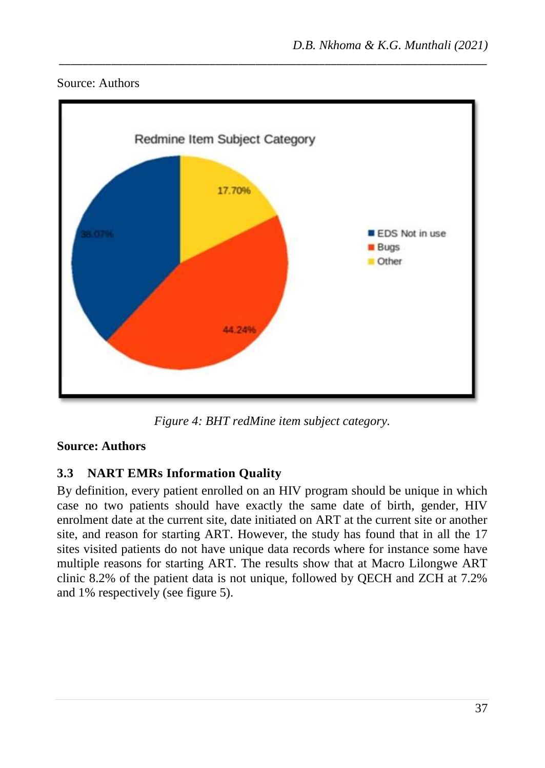



*Figure 4: BHT redMine item subject category.*

### **Source: Authors**

## **3.3 NART EMRs Information Quality**

By definition, every patient enrolled on an HIV program should be unique in which case no two patients should have exactly the same date of birth, gender, HIV enrolment date at the current site, date initiated on ART at the current site or another site, and reason for starting ART. However, the study has found that in all the 17 sites visited patients do not have unique data records where for instance some have multiple reasons for starting ART. The results show that at Macro Lilongwe ART clinic 8.2% of the patient data is not unique, followed by QECH and ZCH at 7.2% and 1% respectively (see figure 5).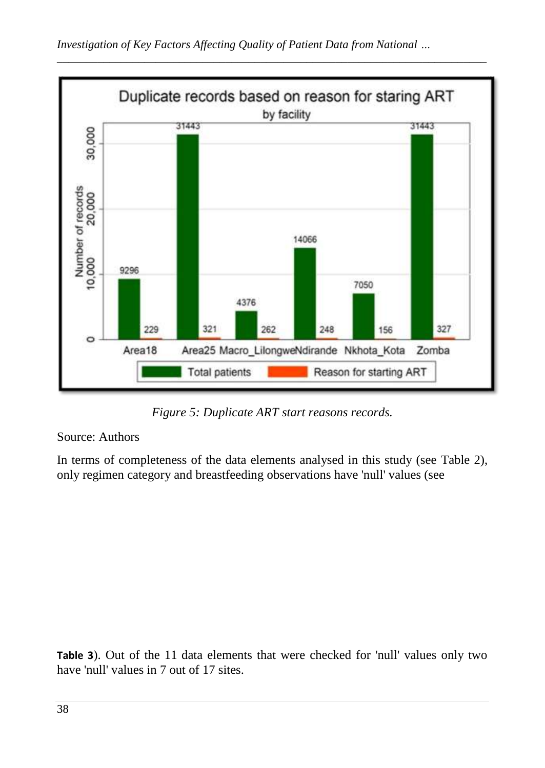

*Figure 5: Duplicate ART start reasons records.*

#### Source: Authors

In terms of completeness of the data elements analysed in this study (see [Table 2\)](#page-8-0), only regimen category and breastfeeding observations have 'null' values (se[e](#page-13-0)

<span id="page-13-0"></span>**[Table 3](#page-13-0)**). Out of the 11 data elements that were checked for 'null' values only two have 'null' values in 7 out of 17 sites.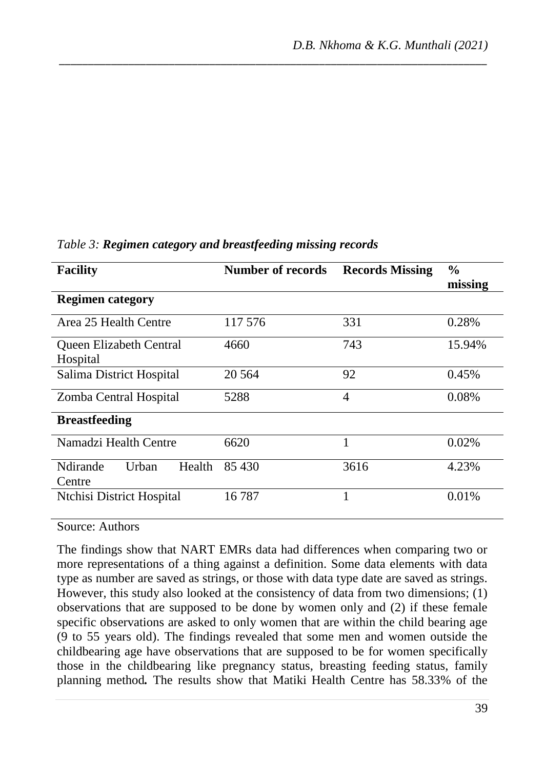| <b>Facility</b>                       | <b>Number of records</b> | <b>Records Missing</b> | $\frac{0}{0}$<br>missing |  |
|---------------------------------------|--------------------------|------------------------|--------------------------|--|
| <b>Regimen category</b>               |                          |                        |                          |  |
| Area 25 Health Centre                 | 117 576                  | 331                    | 0.28%                    |  |
| Queen Elizabeth Central<br>Hospital   | 4660                     | 743                    | 15.94%                   |  |
| Salima District Hospital              | 20 5 64                  | 92                     | 0.45%                    |  |
| Zomba Central Hospital                | 5288                     | 4                      | 0.08%                    |  |
| <b>Breastfeeding</b>                  |                          |                        |                          |  |
| Namadzi Health Centre                 | 6620                     | 1                      | 0.02%                    |  |
| Ndirande<br>Urban<br>Health<br>Centre | 85 430                   | 3616                   | 4.23%                    |  |
| Ntchisi District Hospital             | 16787                    | $\mathbf{1}$           | 0.01%                    |  |

### *Table 3: Regimen category and breastfeeding missing records*

Source: Authors

The findings show that NART EMRs data had differences when comparing two or more representations of a thing against a definition. Some data elements with data type as number are saved as strings, or those with data type date are saved as strings. However, this study also looked at the consistency of data from two dimensions; (1) observations that are supposed to be done by women only and (2) if these female specific observations are asked to only women that are within the child bearing age (9 to 55 years old). The findings revealed that some men and women outside the childbearing age have observations that are supposed to be for women specifically those in the childbearing like pregnancy status, breasting feeding status, family planning method*.* The results show that Matiki Health Centre has 58.33% of the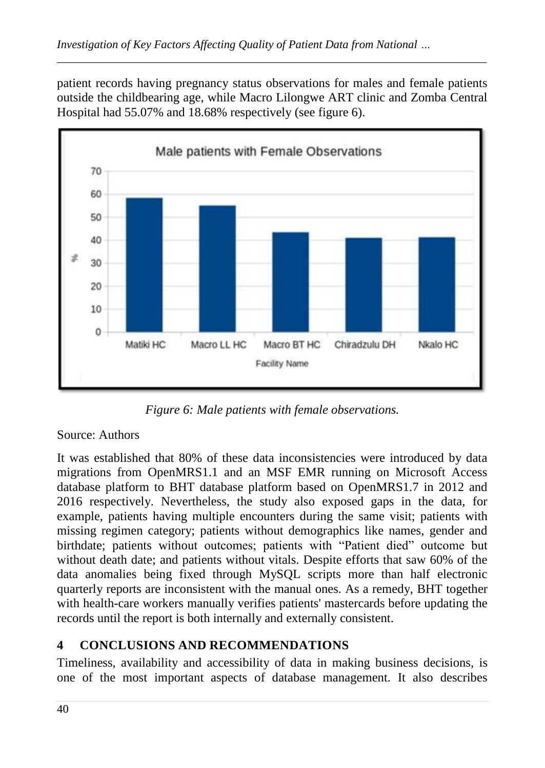patient records having pregnancy status observations for males and female patients outside the childbearing age, while Macro Lilongwe ART clinic and Zomba Central Hospital had 55.07% and 18.68% respectively (see figure 6).

*\_\_\_\_\_\_\_\_\_\_\_\_\_\_\_\_\_\_\_\_\_\_\_\_\_\_\_\_\_\_\_\_\_\_\_\_\_\_\_\_\_\_\_\_\_\_\_\_\_\_\_\_\_\_\_\_\_\_\_\_\_\_\_\_\_\_\_\_\_\_\_\_\_\_*



*Figure 6: Male patients with female observations.*

## Source: Authors

It was established that 80% of these data inconsistencies were introduced by data migrations from OpenMRS1.1 and an MSF EMR running on Microsoft Access database platform to BHT database platform based on OpenMRS1.7 in 2012 and 2016 respectively. Nevertheless, the study also exposed gaps in the data, for example, patients having multiple encounters during the same visit; patients with missing regimen category; patients without demographics like names, gender and birthdate; patients without outcomes; patients with "Patient died" outcome but without death date; and patients without vitals. Despite efforts that saw 60% of the data anomalies being fixed through MySQL scripts more than half electronic quarterly reports are inconsistent with the manual ones. As a remedy, BHT together with health-care workers manually verifies patients' mastercards before updating the records until the report is both internally and externally consistent.

## **4 CONCLUSIONS AND RECOMMENDATIONS**

Timeliness, availability and accessibility of data in making business decisions, is one of the most important aspects of database management. It also describes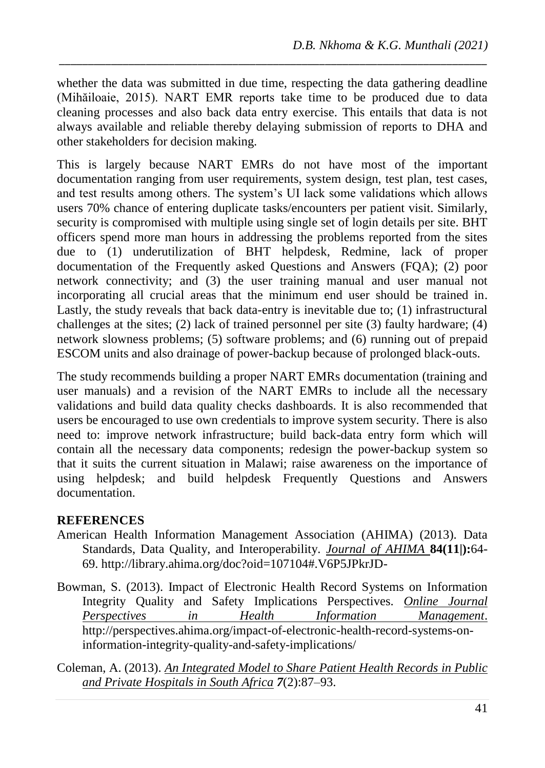whether the data was submitted in due time, respecting the data gathering deadline (Mihăiloaie, 2015). NART EMR reports take time to be produced due to data cleaning processes and also back data entry exercise. This entails that data is not always available and reliable thereby delaying submission of reports to DHA and other stakeholders for decision making.

*\_\_\_\_\_\_\_\_\_\_\_\_\_\_\_\_\_\_\_\_\_\_\_\_\_\_\_\_\_\_\_\_\_\_\_\_\_\_\_\_\_\_\_\_\_\_\_\_\_\_\_\_\_\_\_\_\_\_\_\_\_\_\_\_\_\_\_\_\_\_\_\_\_\_*

This is largely because NART EMRs do not have most of the important documentation ranging from user requirements, system design, test plan, test cases, and test results among others. The system's UI lack some validations which allows users 70% chance of entering duplicate tasks/encounters per patient visit. Similarly, security is compromised with multiple using single set of login details per site. BHT officers spend more man hours in addressing the problems reported from the sites due to (1) underutilization of BHT helpdesk, Redmine, lack of proper documentation of the Frequently asked Questions and Answers (FQA); (2) poor network connectivity; and (3) the user training manual and user manual not incorporating all crucial areas that the minimum end user should be trained in. Lastly, the study reveals that back data-entry is inevitable due to; (1) infrastructural challenges at the sites; (2) lack of trained personnel per site (3) faulty hardware; (4) network slowness problems; (5) software problems; and (6) running out of prepaid ESCOM units and also drainage of power-backup because of prolonged black-outs.

The study recommends building a proper NART EMRs documentation (training and user manuals) and a revision of the NART EMRs to include all the necessary validations and build data quality checks dashboards. It is also recommended that users be encouraged to use own credentials to improve system security. There is also need to: improve network infrastructure; build back-data entry form which will contain all the necessary data components; redesign the power-backup system so that it suits the current situation in Malawi; raise awareness on the importance of using helpdesk; and build helpdesk Frequently Questions and Answers documentation.

#### **REFERENCES**

- American Health Information Management Association (AHIMA) (2013). Data Standards, Data Quality, and Interoperability. *Journal of AHIMA* **84(11|):**64- 69. http://library.ahima.org/doc?oid=107104#.V6P5JPkrJD-
- Bowman, S. (2013). Impact of Electronic Health Record Systems on Information Integrity Quality and Safety Implications Perspectives. *Online Journal Perspectives in Health Information Management*. http://perspectives.ahima.org/impact-of-electronic-health-record-systems-oninformation-integrity-quality-and-safety-implications/
- Coleman, A. (2013). *An Integrated Model to Share Patient Health Records in Public and Private Hospitals in South Africa 7*(2):87–93.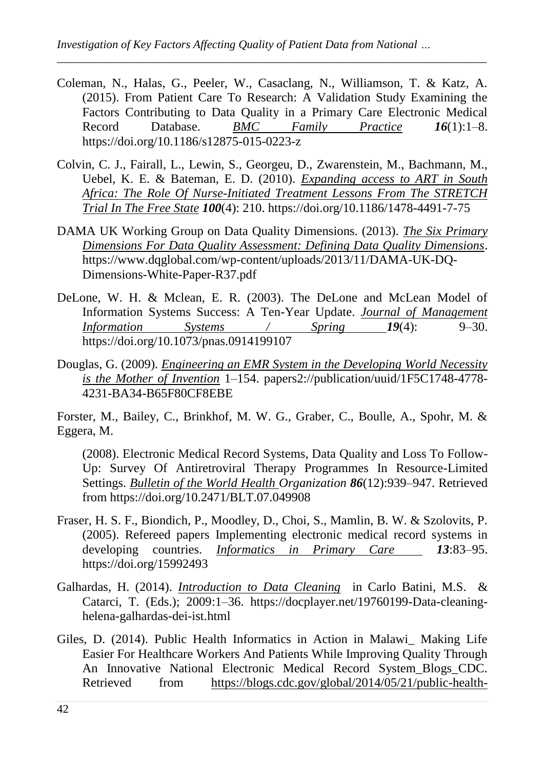Coleman, N., Halas, G., Peeler, W., Casaclang, N., Williamson, T. & Katz, A. (2015). From Patient Care To Research: A Validation Study Examining the Factors Contributing to Data Quality in a Primary Care Electronic Medical Record Database. *BMC Family Practice 16*(1):1–8. https://doi.org/10.1186/s12875-015-0223-z

*\_\_\_\_\_\_\_\_\_\_\_\_\_\_\_\_\_\_\_\_\_\_\_\_\_\_\_\_\_\_\_\_\_\_\_\_\_\_\_\_\_\_\_\_\_\_\_\_\_\_\_\_\_\_\_\_\_\_\_\_\_\_\_\_\_\_\_\_\_\_\_\_\_\_*

- Colvin, C. J., Fairall, L., Lewin, S., Georgeu, D., Zwarenstein, M., Bachmann, M., Uebel, K. E. & Bateman, E. D. (2010). *Expanding access to ART in South Africa: The Role Of Nurse-Initiated Treatment Lessons From The STRETCH Trial In The Free State 100*(4): 210. https://doi.org/10.1186/1478-4491-7-75
- DAMA UK Working Group on Data Quality Dimensions. (2013). *The Six Primary Dimensions For Data Quality Assessment: Defining Data Quality Dimensions*. https://www.dqglobal.com/wp-content/uploads/2013/11/DAMA-UK-DQ-Dimensions-White-Paper-R37.pdf
- DeLone, W. H. & Mclean, E. R. (2003). The DeLone and McLean Model of Information Systems Success: A Ten-Year Update. *Journal of Management Information Systems / Spring 19*(4): 9–30. https://doi.org/10.1073/pnas.0914199107
- Douglas, G. (2009). *Engineering an EMR System in the Developing World Necessity is the Mother of Invention* 1–154. papers2://publication/uuid/1F5C1748-4778- 4231-BA34-B65F80CF8EBE

Forster, M., Bailey, C., Brinkhof, M. W. G., Graber, C., Boulle, A., Spohr, M. & Eggera, M.

(2008). Electronic Medical Record Systems, Data Quality and Loss To Follow-Up: Survey Of Antiretroviral Therapy Programmes In Resource-Limited Settings. *Bulletin of the World Health Organization 86*(12):939–947. Retrieved from https://doi.org/10.2471/BLT.07.049908

- Fraser, H. S. F., Biondich, P., Moodley, D., Choi, S., Mamlin, B. W. & Szolovits, P. (2005). Refereed papers Implementing electronic medical record systems in developing countries. *Informatics in Primary Care 13*:83–95. https://doi.org/15992493
- Galhardas, H. (2014). *Introduction to Data Cleaning* in Carlo Batini, M.S. & Catarci, T. (Eds.); 2009:1–36. https://docplayer.net/19760199-Data-cleaninghelena-galhardas-dei-ist.html
- Giles, D. (2014). Public Health Informatics in Action in Malawi\_ Making Life Easier For Healthcare Workers And Patients While Improving Quality Through An Innovative National Electronic Medical Record System\_Blogs\_CDC. Retrieved from https://blogs.cdc.gov/global/2014/05/21/public-health-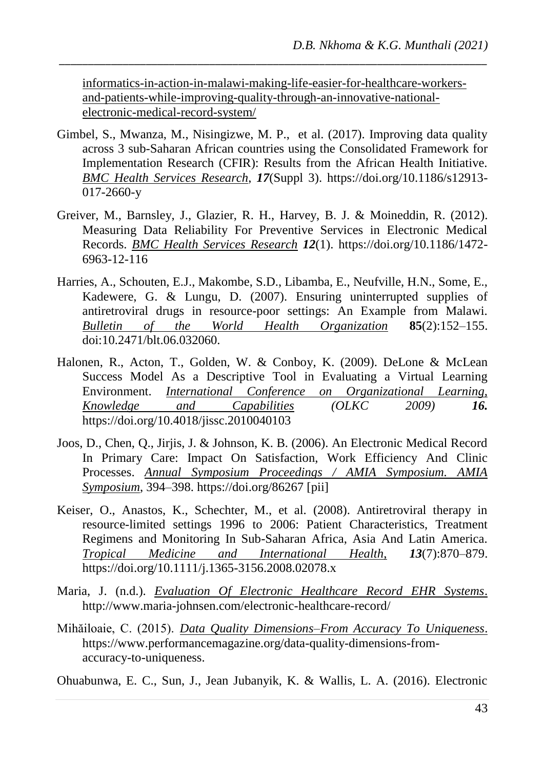informatics-in-action-in-malawi-making-life-easier-for-healthcare-workersand-patients-while-improving-quality-through-an-innovative-nationalelectronic-medical-record-system/

*\_\_\_\_\_\_\_\_\_\_\_\_\_\_\_\_\_\_\_\_\_\_\_\_\_\_\_\_\_\_\_\_\_\_\_\_\_\_\_\_\_\_\_\_\_\_\_\_\_\_\_\_\_\_\_\_\_\_\_\_\_\_\_\_\_\_\_\_\_\_\_\_\_\_*

- Gimbel, S., Mwanza, M., Nisingizwe, M. P., et al. (2017). Improving data quality across 3 sub-Saharan African countries using the Consolidated Framework for Implementation Research (CFIR): Results from the African Health Initiative. *BMC Health Services Research*, *17*(Suppl 3). https://doi.org/10.1186/s12913- 017-2660-y
- Greiver, M., Barnsley, J., Glazier, R. H., Harvey, B. J. & Moineddin, R. (2012). Measuring Data Reliability For Preventive Services in Electronic Medical Records. *BMC Health Services Research 12*(1). https://doi.org/10.1186/1472- 6963-12-116
- Harries, A., Schouten, E.J., Makombe, S.D., Libamba, E., Neufville, H.N., Some, E., Kadewere, G. & Lungu, D. (2007). Ensuring uninterrupted supplies of antiretroviral drugs in resource-poor settings: An Example from Malawi. *Bulletin of the World Health Organization* **85**(2):152–155. doi:10.2471/blt.06.032060.
- Halonen, R., Acton, T., Golden, W. & Conboy, K. (2009). DeLone & McLean Success Model As a Descriptive Tool in Evaluating a Virtual Learning<br>Environment. International Conference on Organizational Learning. Environment. *International Conference Knowledge and Capabilities (OLKC 2009) 16.* https://doi.org/10.4018/jissc.2010040103
- Joos, D., Chen, Q., Jirjis, J. & Johnson, K. B. (2006). An Electronic Medical Record In Primary Care: Impact On Satisfaction, Work Efficiency And Clinic Processes. *Annual Symposium Proceedings / AMIA Symposium. AMIA Symposium*, 394–398. https://doi.org/86267 [pii]
- Keiser, O., Anastos, K., Schechter, M., et al. (2008). Antiretroviral therapy in resource-limited settings 1996 to 2006: Patient Characteristics, Treatment Regimens and Monitoring In Sub-Saharan Africa, Asia And Latin America. *Tropical Medicine and International Health*, *13*(7):870–879. https://doi.org/10.1111/j.1365-3156.2008.02078.x
- Maria, J. (n.d.). *Evaluation Of Electronic Healthcare Record EHR Systems*. http://www.maria-johnsen.com/electronic-healthcare-record/
- Mihăiloaie, C. (2015). *Data Quality Dimensions–From Accuracy To Uniqueness*. https://www.performancemagazine.org/data-quality-dimensions-fromaccuracy-to-uniqueness.

Ohuabunwa, E. C., Sun, J., Jean Jubanyik, K. & Wallis, L. A. (2016). Electronic